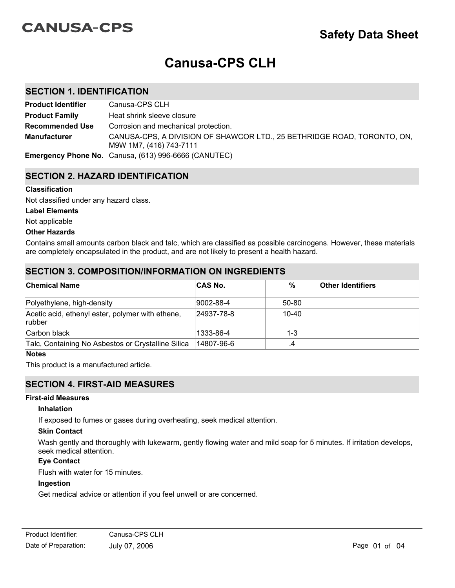# **CANUSA-CPS**

# **Canusa-CPS CLH**

# **SECTION 1. IDENTIFICATION**

| <b>Product Identifier</b> | Canusa-CPS CLH                                                                                     |
|---------------------------|----------------------------------------------------------------------------------------------------|
| <b>Product Family</b>     | Heat shrink sleeve closure                                                                         |
| <b>Recommended Use</b>    | Corrosion and mechanical protection.                                                               |
| <b>Manufacturer</b>       | CANUSA-CPS, A DIVISION OF SHAWCOR LTD., 25 BETHRIDGE ROAD, TORONTO, ON,<br>M9W 1M7, (416) 743-7111 |
|                           | <b>Emergency Phone No.</b> Canusa, (613) 996-6666 (CANUTEC)                                        |

# **SECTION 2. HAZARD IDENTIFICATION**

#### **Classification**

Not classified under any hazard class.

#### **Label Elements**

Not applicable

#### **Other Hazards**

Contains small amounts carbon black and talc, which are classified as possible carcinogens. However, these materials are completely encapsulated in the product, and are not likely to present a health hazard.

# **SECTION 3. COMPOSITION/INFORMATION ON INGREDIENTS**

| <b>Chemical Name</b>                                        | <b>CAS No.</b> | $\%$      | <b>Other Identifiers</b> |
|-------------------------------------------------------------|----------------|-----------|--------------------------|
| Polyethylene, high-density                                  | 9002-88-4      | 50-80     |                          |
| Acetic acid, ethenyl ester, polymer with ethene,<br> rubber | 24937-78-8     | $10 - 40$ |                          |
| Carbon black                                                | 1333-86-4      | $1 - 3$   |                          |
| Talc, Containing No Asbestos or Crystalline Silica          | 14807-96-6     | .4        |                          |

#### **Notes**

This product is a manufactured article.

# **SECTION 4. FIRST-AID MEASURES**

#### **First-aid Measures**

#### **Inhalation**

If exposed to fumes or gases during overheating, seek medical attention.

#### **Skin Contact**

Wash gently and thoroughly with lukewarm, gently flowing water and mild soap for 5 minutes. If irritation develops, seek medical attention.

## **Eye Contact**

Flush with water for 15 minutes.

#### **Ingestion**

Get medical advice or attention if you feel unwell or are concerned.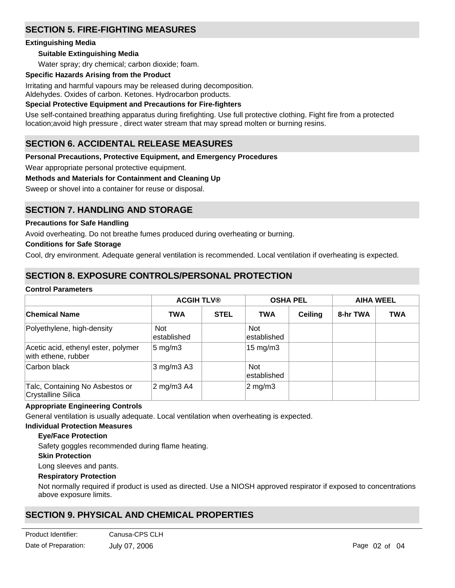# **SECTION 5. FIRE-FIGHTING MEASURES**

## **Extinguishing Media**

## **Suitable Extinguishing Media**

Water spray; dry chemical; carbon dioxide; foam.

#### **Specific Hazards Arising from the Product**

Irritating and harmful vapours may be released during decomposition. Aldehydes. Oxides of carbon. Ketones. Hydrocarbon products.

## **Special Protective Equipment and Precautions for Fire-fighters**

Use self-contained breathing apparatus during firefighting. Use full protective clothing. Fight fire from a protected location;avoid high pressure , direct water stream that may spread molten or burning resins.

# **SECTION 6. ACCIDENTAL RELEASE MEASURES**

## **Personal Precautions, Protective Equipment, and Emergency Procedures**

Wear appropriate personal protective equipment.

## **Methods and Materials for Containment and Cleaning Up**

Sweep or shovel into a container for reuse or disposal.

# **SECTION 7. HANDLING AND STORAGE**

## **Precautions for Safe Handling**

Avoid overheating. Do not breathe fumes produced during overheating or burning.

## **Conditions for Safe Storage**

Cool, dry environment. Adequate general ventilation is recommended. Local ventilation if overheating is expected.

# **SECTION 8. EXPOSURE CONTROLS/PERSONAL PROTECTION**

#### **Control Parameters**

|                                                            | <b>ACGIH TLV®</b>          |             |                           | <b>OSHA PEL</b> |          | <b>AIHA WEEL</b> |
|------------------------------------------------------------|----------------------------|-------------|---------------------------|-----------------|----------|------------------|
| ∣Chemical Name                                             | <b>TWA</b>                 | <b>STEL</b> | <b>TWA</b>                | Ceiling         | 8-hr TWA | <b>TWA</b>       |
| Polyethylene, high-density                                 | <b>Not</b><br>lestablished |             | <b>Not</b><br>established |                 |          |                  |
| Acetic acid, ethenyl ester, polymer<br>with ethene, rubber | $5 \text{ mg/m}$ 3         |             | $15 \text{ mg/m}$         |                 |          |                  |
| Carbon black                                               | $3$ mg/m $3$ A $3$         |             | <b>Not</b><br>established |                 |          |                  |
| Talc, Containing No Asbestos or<br>Crystalline Silica      | 2 mg/m3 A4                 |             | $2$ mg/m $3$              |                 |          |                  |

#### **Appropriate Engineering Controls**

General ventilation is usually adequate. Local ventilation when overheating is expected.

#### **Individual Protection Measures**

## **Eye/Face Protection**

Safety goggles recommended during flame heating.

**Skin Protection**

Long sleeves and pants.

#### **Respiratory Protection**

Not normally required if product is used as directed. Use a NIOSH approved respirator if exposed to concentrations above exposure limits.

# **SECTION 9. PHYSICAL AND CHEMICAL PROPERTIES**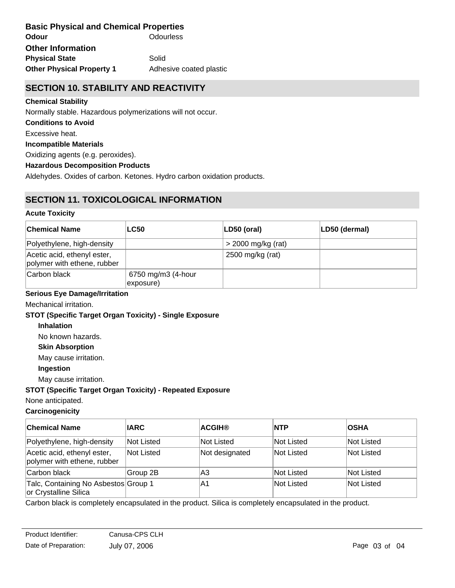**Odour** Odourless **Other Physical Property 1** Adhesive coated plastic **Basic Physical and Chemical Properties Physical State** Solid **Other Information**

# **SECTION 10. STABILITY AND REACTIVITY**

## **Chemical Stability**

Normally stable. Hazardous polymerizations will not occur.

## **Conditions to Avoid**

Excessive heat.

## **Incompatible Materials**

Oxidizing agents (e.g. peroxides).

## **Hazardous Decomposition Products**

Aldehydes. Oxides of carbon. Ketones. Hydro carbon oxidation products.

# **SECTION 11. TOXICOLOGICAL INFORMATION**

## **Acute Toxicity**

| <b>Chemical Name</b>                                       | <b>LC50</b>                     | $ LD50$ (oral)       | LD50 (dermal) |
|------------------------------------------------------------|---------------------------------|----------------------|---------------|
| Polyethylene, high-density                                 |                                 | $>$ 2000 mg/kg (rat) |               |
| Acetic acid, ethenyl ester,<br>polymer with ethene, rubber |                                 | 2500 mg/kg (rat)     |               |
| Carbon black                                               | 6750 mg/m3 (4-hour<br>exposure) |                      |               |

# **Serious Eye Damage/Irritation**

Mechanical irritation.

## **STOT (Specific Target Organ Toxicity) - Single Exposure**

#### **Inhalation**

No known hazards.

#### **Skin Absorption**

May cause irritation.

## **Ingestion**

May cause irritation.

## **STOT (Specific Target Organ Toxicity) - Repeated Exposure**

None anticipated.

# **Carcinogenicity**

| <b>Chemical Name</b>                                          | <b>IARC</b> | <b>ACGIH®</b>  | <b>INTP</b> | <b>OSHA</b> |
|---------------------------------------------------------------|-------------|----------------|-------------|-------------|
| Polyethylene, high-density                                    | Not Listed  | Not Listed     | Not Listed  | Not Listed  |
| Acetic acid, ethenyl ester,<br>polymer with ethene, rubber    | Not Listed  | Not designated | Not Listed  | Not Listed  |
| Carbon black                                                  | Group 2B    | lА3            | Not Listed  | Not Listed  |
| Talc, Containing No Asbestos Group 1<br>or Crystalline Silica |             | ΙA1            | Not Listed  | Not Listed  |

Carbon black is completely encapsulated in the product. Silica is completely encapsulated in the product.